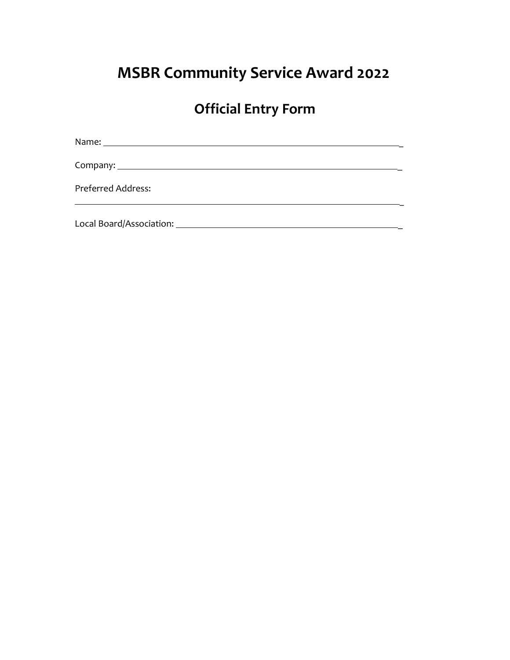# **MSBR Community Service Award 2022**

## **Official Entry Form**

\_

Name: \_

Company: \_

Preferred Address:

Local Board/Association: \_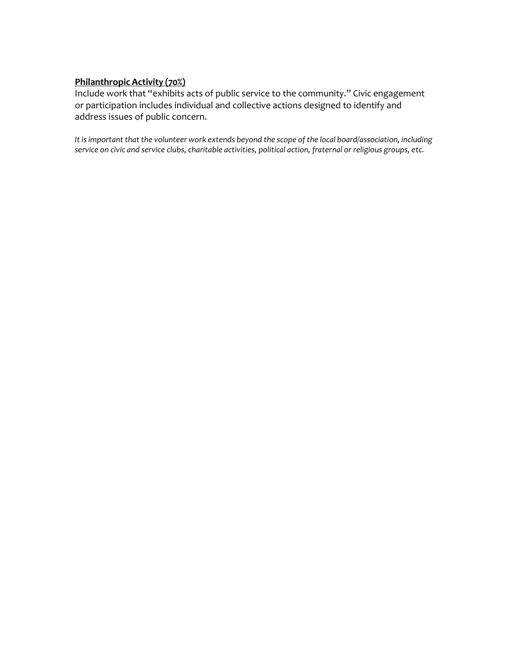#### **Philanthropic Activity (70%)**

Include work that "exhibits acts of public service to the community." Civic engagement or participation includes individual and collective actions designed to identify and address issues of public concern.

*It is important that the volunteer work extends beyond the scope of the local board/association, including service on civic and service clubs, charitable activities, political action, fraternal or religious groups, etc.*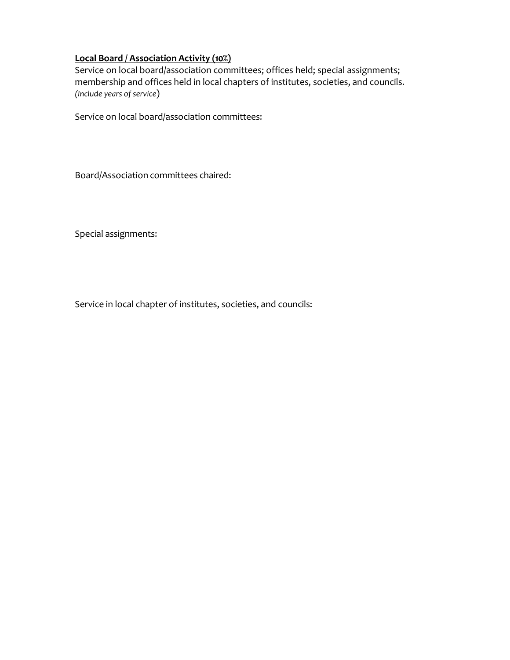### **Local Board / Association Activity (10%)**

Service on local board/association committees; offices held; special assignments; membership and offices held in local chapters of institutes, societies, and councils. *(Include years of service*)

Service on local board/association committees:

Board/Association committees chaired:

Special assignments:

Service in local chapter of institutes, societies, and councils: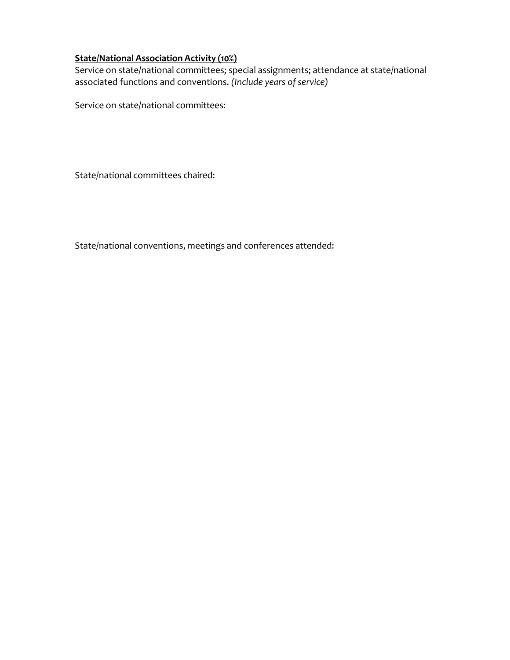### **State/National Association Activity (10%)**

Service on state/national committees; special assignments; attendance at state/national associated functions and conventions. *(Include years of service)*

Service on state/national committees:

State/national committees chaired:

State/national conventions, meetings and conferences attended: